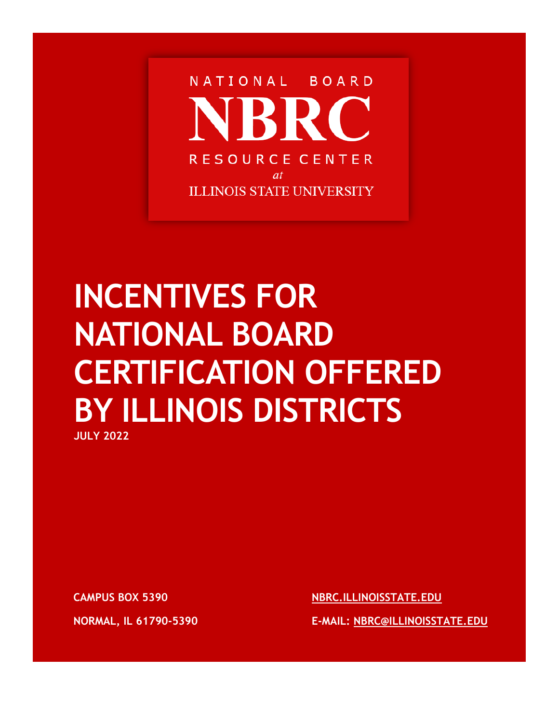

# **INCENTIVES FOR NATIONAL BOARD CERTIFICATION OFFERED BY ILLINOIS DISTRICTS**

**JULY 2022**

**CAMPUS BOX 5390**

**NORMAL, IL 61790-5390**

**[NBRC.ILLINOISSTATE.EDU](https://nbrc.illinoisstate.edu/)**

**E-MAIL: [NBRC@ILLINOISSTATE.EDU](mailto:nbrc@illinoisstate.edu)**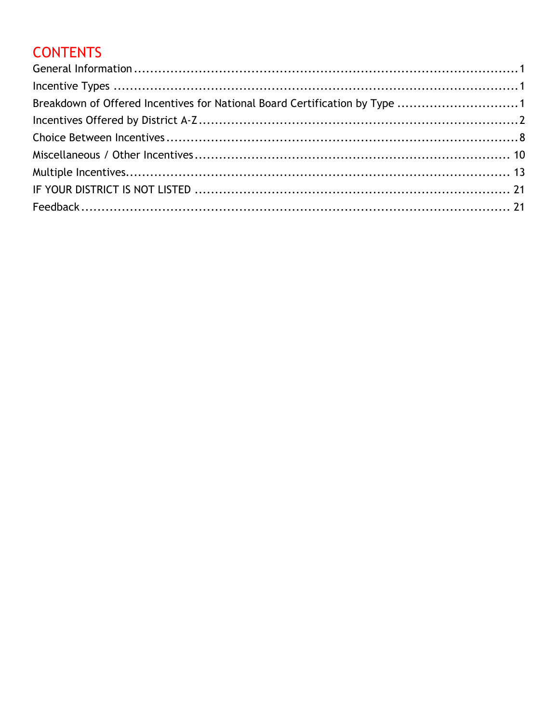## **CONTENTS**

| Breakdown of Offered Incentives for National Board Certification by Type 1 |  |
|----------------------------------------------------------------------------|--|
|                                                                            |  |
|                                                                            |  |
|                                                                            |  |
|                                                                            |  |
|                                                                            |  |
|                                                                            |  |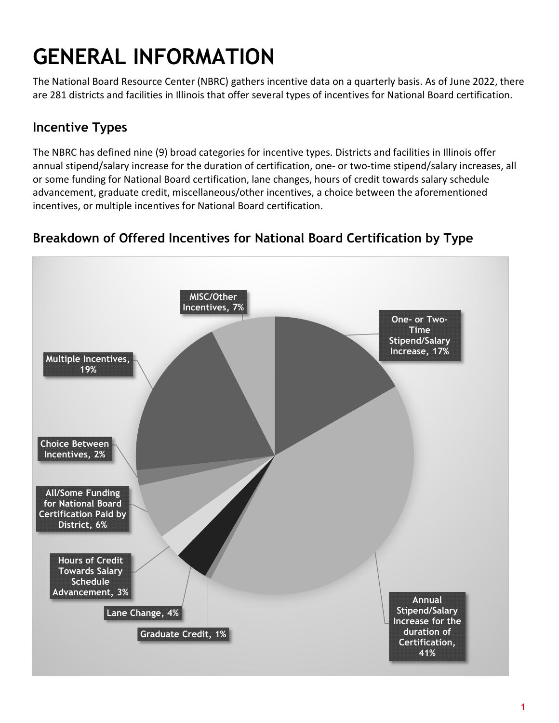## <span id="page-2-0"></span>**GENERAL INFORMATION**

The National Board Resource Center (NBRC) gathers incentive data on a quarterly basis. As of June 2022, there are 281 districts and facilities in Illinois that offer several types of incentives for National Board certification.

## <span id="page-2-1"></span>**Incentive Types**

The NBRC has defined nine (9) broad categories for incentive types. Districts and facilities in Illinois offer annual stipend/salary increase for the duration of certification, one- or two-time stipend/salary increases, all or some funding for National Board certification, lane changes, hours of credit towards salary schedule advancement, graduate credit, miscellaneous/other incentives, a choice between the aforementioned incentives, or multiple incentives for National Board certification.



## <span id="page-2-2"></span>**Breakdown of Offered Incentives for National Board Certification by Type**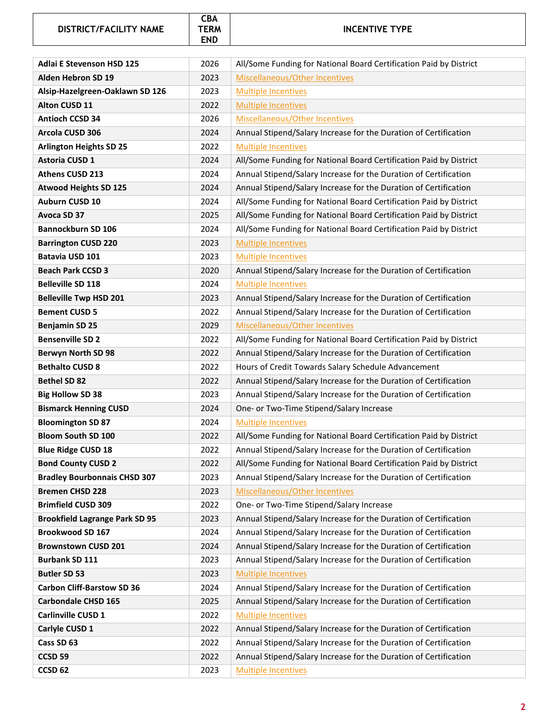#### **DISTRICT/FACILITY NAME**



#### **INCENTIVE TYPE**

<span id="page-3-0"></span>

| <b>Adlai E Stevenson HSD 125</b>      | 2026 | All/Some Funding for National Board Certification Paid by District |
|---------------------------------------|------|--------------------------------------------------------------------|
| Alden Hebron SD 19                    | 2023 | Miscellaneous/Other Incentives                                     |
| Alsip-Hazelgreen-Oaklawn SD 126       | 2023 | <b>Multiple Incentives</b>                                         |
| Alton CUSD 11                         | 2022 | <b>Multiple Incentives</b>                                         |
| <b>Antioch CCSD 34</b>                | 2026 | Miscellaneous/Other Incentives                                     |
| Arcola CUSD 306                       | 2024 | Annual Stipend/Salary Increase for the Duration of Certification   |
| <b>Arlington Heights SD 25</b>        | 2022 | <b>Multiple Incentives</b>                                         |
| Astoria CUSD 1                        | 2024 | All/Some Funding for National Board Certification Paid by District |
| Athens CUSD 213                       | 2024 | Annual Stipend/Salary Increase for the Duration of Certification   |
| <b>Atwood Heights SD 125</b>          | 2024 | Annual Stipend/Salary Increase for the Duration of Certification   |
| Auburn CUSD 10                        | 2024 | All/Some Funding for National Board Certification Paid by District |
| Avoca SD 37                           | 2025 | All/Some Funding for National Board Certification Paid by District |
| Bannockburn SD 106                    | 2024 | All/Some Funding for National Board Certification Paid by District |
| <b>Barrington CUSD 220</b>            | 2023 | <b>Multiple Incentives</b>                                         |
| Batavia USD 101                       | 2023 | <b>Multiple Incentives</b>                                         |
| <b>Beach Park CCSD 3</b>              | 2020 | Annual Stipend/Salary Increase for the Duration of Certification   |
| <b>Belleville SD 118</b>              | 2024 | <b>Multiple Incentives</b>                                         |
| <b>Belleville Twp HSD 201</b>         | 2023 | Annual Stipend/Salary Increase for the Duration of Certification   |
| <b>Bement CUSD 5</b>                  | 2022 | Annual Stipend/Salary Increase for the Duration of Certification   |
| <b>Benjamin SD 25</b>                 | 2029 | Miscellaneous/Other Incentives                                     |
| <b>Bensenville SD 2</b>               | 2022 | All/Some Funding for National Board Certification Paid by District |
| <b>Berwyn North SD 98</b>             | 2022 | Annual Stipend/Salary Increase for the Duration of Certification   |
| <b>Bethalto CUSD 8</b>                | 2022 | Hours of Credit Towards Salary Schedule Advancement                |
| <b>Bethel SD 82</b>                   | 2022 | Annual Stipend/Salary Increase for the Duration of Certification   |
| <b>Big Hollow SD 38</b>               | 2023 | Annual Stipend/Salary Increase for the Duration of Certification   |
| <b>Bismarck Henning CUSD</b>          | 2024 | One- or Two-Time Stipend/Salary Increase                           |
| <b>Bloomington SD 87</b>              | 2024 | <b>Multiple Incentives</b>                                         |
| <b>Bloom South SD 100</b>             | 2022 | All/Some Funding for National Board Certification Paid by District |
| <b>Blue Ridge CUSD 18</b>             | 2022 | Annual Stipend/Salary Increase for the Duration of Certification   |
| <b>Bond County CUSD 2</b>             | 2022 | All/Some Funding for National Board Certification Paid by District |
| <b>Bradley Bourbonnais CHSD 307</b>   | 2023 | Annual Stipend/Salary Increase for the Duration of Certification   |
| <b>Bremen CHSD 228</b>                | 2023 | Miscellaneous/Other Incentives                                     |
| <b>Brimfield CUSD 309</b>             | 2022 | One- or Two-Time Stipend/Salary Increase                           |
| <b>Brookfield Lagrange Park SD 95</b> | 2023 | Annual Stipend/Salary Increase for the Duration of Certification   |
| Brookwood SD 167                      | 2024 | Annual Stipend/Salary Increase for the Duration of Certification   |
| <b>Brownstown CUSD 201</b>            | 2024 | Annual Stipend/Salary Increase for the Duration of Certification   |
| <b>Burbank SD 111</b>                 | 2023 | Annual Stipend/Salary Increase for the Duration of Certification   |
| <b>Butler SD 53</b>                   | 2023 | <b>Multiple Incentives</b>                                         |
| <b>Carbon Cliff-Barstow SD 36</b>     | 2024 | Annual Stipend/Salary Increase for the Duration of Certification   |
| <b>Carbondale CHSD 165</b>            | 2025 | Annual Stipend/Salary Increase for the Duration of Certification   |
| Carlinville CUSD 1                    | 2022 | <b>Multiple Incentives</b>                                         |
| Carlyle CUSD 1                        | 2022 | Annual Stipend/Salary Increase for the Duration of Certification   |
| Cass SD 63                            | 2022 | Annual Stipend/Salary Increase for the Duration of Certification   |
| CCSD <sub>59</sub>                    | 2022 | Annual Stipend/Salary Increase for the Duration of Certification   |
| CCSD <sub>62</sub>                    | 2023 | <b>Multiple Incentives</b>                                         |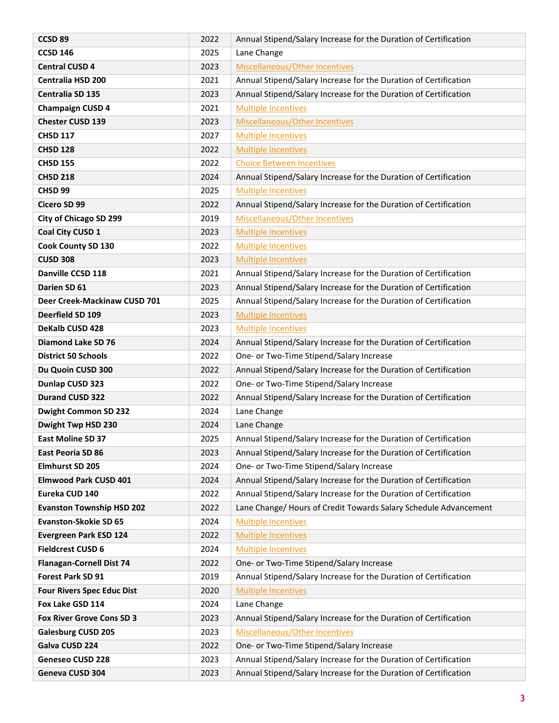| CCSD <sub>89</sub>                             | 2022         | Annual Stipend/Salary Increase for the Duration of Certification                                             |
|------------------------------------------------|--------------|--------------------------------------------------------------------------------------------------------------|
| <b>CCSD 146</b>                                | 2025         | Lane Change                                                                                                  |
| <b>Central CUSD 4</b>                          | 2023         | Miscellaneous/Other Incentives                                                                               |
| <b>Centralia HSD 200</b>                       | 2021         | Annual Stipend/Salary Increase for the Duration of Certification                                             |
| <b>Centralia SD 135</b>                        | 2023         | Annual Stipend/Salary Increase for the Duration of Certification                                             |
| <b>Champaign CUSD 4</b>                        | 2021         | <b>Multiple Incentives</b>                                                                                   |
| <b>Chester CUSD 139</b>                        | 2023         | Miscellaneous/Other Incentives                                                                               |
| <b>CHSD 117</b>                                | 2027         | <b>Multiple Incentives</b>                                                                                   |
| <b>CHSD 128</b>                                | 2022         | <b>Multiple Incentives</b>                                                                                   |
| <b>CHSD 155</b>                                | 2022         | <b>Choice Between Incentives</b>                                                                             |
| <b>CHSD 218</b>                                | 2024         | Annual Stipend/Salary Increase for the Duration of Certification                                             |
| CHSD <sub>99</sub>                             | 2025         | <b>Multiple Incentives</b>                                                                                   |
| Cicero SD 99                                   | 2022         | Annual Stipend/Salary Increase for the Duration of Certification                                             |
| City of Chicago SD 299                         | 2019         | Miscellaneous/Other Incentives                                                                               |
| Coal City CUSD 1                               | 2023         | <b>Multiple Incentives</b>                                                                                   |
| <b>Cook County SD 130</b>                      | 2022         | <b>Multiple Incentives</b>                                                                                   |
| <b>CUSD 308</b>                                | 2023         | <b>Multiple Incentives</b>                                                                                   |
| Danville CCSD 118                              | 2021         | Annual Stipend/Salary Increase for the Duration of Certification                                             |
| Darien SD 61                                   | 2023         | Annual Stipend/Salary Increase for the Duration of Certification                                             |
| Deer Creek-Mackinaw CUSD 701                   | 2025         | Annual Stipend/Salary Increase for the Duration of Certification                                             |
| Deerfield SD 109                               | 2023         | <b>Multiple Incentives</b>                                                                                   |
| DeKalb CUSD 428                                | 2023         | <b>Multiple Incentives</b>                                                                                   |
| <b>Diamond Lake SD 76</b>                      | 2024         | Annual Stipend/Salary Increase for the Duration of Certification                                             |
| <b>District 50 Schools</b>                     | 2022         | One- or Two-Time Stipend/Salary Increase                                                                     |
| Du Quoin CUSD 300                              | 2022         | Annual Stipend/Salary Increase for the Duration of Certification                                             |
| Dunlap CUSD 323                                | 2022         | One- or Two-Time Stipend/Salary Increase                                                                     |
| <b>Durand CUSD 322</b>                         | 2022         | Annual Stipend/Salary Increase for the Duration of Certification                                             |
| <b>Dwight Common SD 232</b>                    | 2024         | Lane Change                                                                                                  |
| Dwight Twp HSD 230                             | 2024         | Lane Change                                                                                                  |
| <b>East Moline SD 37</b>                       | 2025         | Annual Stipend/Salary Increase for the Duration of Certification                                             |
| East Peoria SD 86                              | 2023         | Annual Stipend/Salary Increase for the Duration of Certification                                             |
| <b>Elmhurst SD 205</b>                         | 2024         | One- or Two-Time Stipend/Salary Increase<br>Annual Stipend/Salary Increase for the Duration of Certification |
| <b>Elmwood Park CUSD 401</b><br>Eureka CUD 140 | 2024<br>2022 | Annual Stipend/Salary Increase for the Duration of Certification                                             |
| <b>Evanston Township HSD 202</b>               | 2022         | Lane Change/ Hours of Credit Towards Salary Schedule Advancement                                             |
| <b>Evanston-Skokie SD 65</b>                   | 2024         | <b>Multiple Incentives</b>                                                                                   |
| <b>Evergreen Park ESD 124</b>                  | 2022         | <b>Multiple Incentives</b>                                                                                   |
| <b>Fieldcrest CUSD 6</b>                       | 2024         | <b>Multiple Incentives</b>                                                                                   |
| <b>Flanagan-Cornell Dist 74</b>                | 2022         | One- or Two-Time Stipend/Salary Increase                                                                     |
| <b>Forest Park SD 91</b>                       | 2019         | Annual Stipend/Salary Increase for the Duration of Certification                                             |
| <b>Four Rivers Spec Educ Dist</b>              | 2020         | <b>Multiple Incentives</b>                                                                                   |
| Fox Lake GSD 114                               | 2024         | Lane Change                                                                                                  |
| Fox River Grove Cons SD 3                      | 2023         | Annual Stipend/Salary Increase for the Duration of Certification                                             |
| <b>Galesburg CUSD 205</b>                      | 2023         | Miscellaneous/Other Incentives                                                                               |
| Galva CUSD 224                                 | 2022         | One- or Two-Time Stipend/Salary Increase                                                                     |
| Geneseo CUSD 228                               | 2023         | Annual Stipend/Salary Increase for the Duration of Certification                                             |
| Geneva CUSD 304                                | 2023         | Annual Stipend/Salary Increase for the Duration of Certification                                             |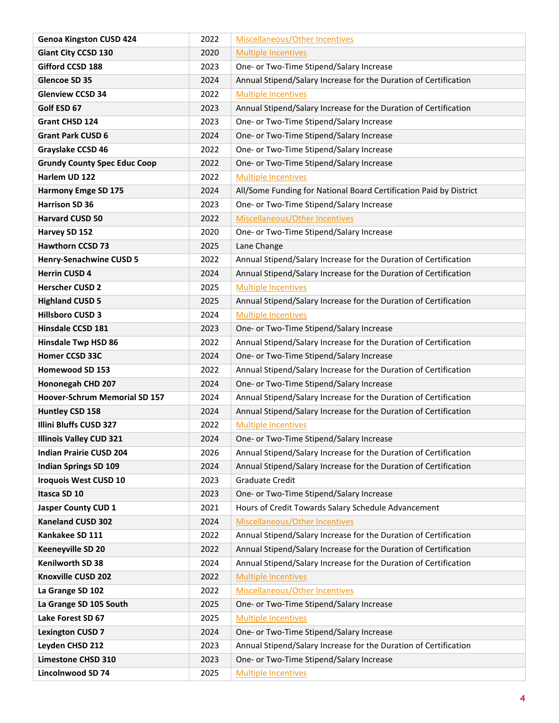| <b>Genoa Kingston CUSD 424</b>      | 2022 | Miscellaneous/Other Incentives                                     |
|-------------------------------------|------|--------------------------------------------------------------------|
| <b>Giant City CCSD 130</b>          | 2020 | <b>Multiple Incentives</b>                                         |
| Gifford CCSD 188                    | 2023 | One- or Two-Time Stipend/Salary Increase                           |
| Glencoe SD 35                       | 2024 | Annual Stipend/Salary Increase for the Duration of Certification   |
| <b>Glenview CCSD 34</b>             | 2022 | <b>Multiple Incentives</b>                                         |
| Golf ESD 67                         | 2023 | Annual Stipend/Salary Increase for the Duration of Certification   |
| Grant CHSD 124                      | 2023 | One- or Two-Time Stipend/Salary Increase                           |
| <b>Grant Park CUSD 6</b>            | 2024 | One- or Two-Time Stipend/Salary Increase                           |
| Grayslake CCSD 46                   | 2022 | One- or Two-Time Stipend/Salary Increase                           |
| <b>Grundy County Spec Educ Coop</b> | 2022 | One- or Two-Time Stipend/Salary Increase                           |
| Harlem UD 122                       | 2022 | <b>Multiple Incentives</b>                                         |
| <b>Harmony Emge SD 175</b>          | 2024 | All/Some Funding for National Board Certification Paid by District |
| <b>Harrison SD 36</b>               | 2023 | One- or Two-Time Stipend/Salary Increase                           |
| <b>Harvard CUSD 50</b>              | 2022 | Miscellaneous/Other Incentives                                     |
| Harvey SD 152                       | 2020 | One- or Two-Time Stipend/Salary Increase                           |
| <b>Hawthorn CCSD 73</b>             | 2025 | Lane Change                                                        |
| <b>Henry-Senachwine CUSD 5</b>      | 2022 | Annual Stipend/Salary Increase for the Duration of Certification   |
| <b>Herrin CUSD 4</b>                | 2024 | Annual Stipend/Salary Increase for the Duration of Certification   |
| <b>Herscher CUSD 2</b>              | 2025 | <b>Multiple Incentives</b>                                         |
| <b>Highland CUSD 5</b>              | 2025 | Annual Stipend/Salary Increase for the Duration of Certification   |
| <b>Hillsboro CUSD 3</b>             | 2024 | <b>Multiple Incentives</b>                                         |
| Hinsdale CCSD 181                   | 2023 | One- or Two-Time Stipend/Salary Increase                           |
| <b>Hinsdale Twp HSD 86</b>          | 2022 | Annual Stipend/Salary Increase for the Duration of Certification   |
| Homer CCSD 33C                      | 2024 | One- or Two-Time Stipend/Salary Increase                           |
| Homewood SD 153                     | 2022 | Annual Stipend/Salary Increase for the Duration of Certification   |
| Hononegah CHD 207                   | 2024 | One- or Two-Time Stipend/Salary Increase                           |
| Hoover-Schrum Memorial SD 157       | 2024 | Annual Stipend/Salary Increase for the Duration of Certification   |
| Huntley CSD 158                     | 2024 | Annual Stipend/Salary Increase for the Duration of Certification   |
| Illini Bluffs CUSD 327              | 2022 | <b>Multiple Incentives</b>                                         |
| <b>Illinois Valley CUD 321</b>      | 2024 | One- or Two-Time Stipend/Salary Increase                           |
| <b>Indian Prairie CUSD 204</b>      | 2026 | Annual Stipend/Salary Increase for the Duration of Certification   |
| <b>Indian Springs SD 109</b>        | 2024 | Annual Stipend/Salary Increase for the Duration of Certification   |
| <b>Iroquois West CUSD 10</b>        | 2023 | <b>Graduate Credit</b>                                             |
| Itasca SD 10                        | 2023 | One- or Two-Time Stipend/Salary Increase                           |
| <b>Jasper County CUD 1</b>          | 2021 | Hours of Credit Towards Salary Schedule Advancement                |
| <b>Kaneland CUSD 302</b>            | 2024 | Miscellaneous/Other Incentives                                     |
| Kankakee SD 111                     | 2022 | Annual Stipend/Salary Increase for the Duration of Certification   |
| Keeneyville SD 20                   | 2022 | Annual Stipend/Salary Increase for the Duration of Certification   |
| Kenilworth SD 38                    | 2024 | Annual Stipend/Salary Increase for the Duration of Certification   |
| Knoxville CUSD 202                  | 2022 | <b>Multiple Incentives</b>                                         |
| La Grange SD 102                    | 2022 | Miscellaneous/Other Incentives                                     |
| La Grange SD 105 South              | 2025 | One- or Two-Time Stipend/Salary Increase                           |
| Lake Forest SD 67                   | 2025 | <b>Multiple Incentives</b>                                         |
| <b>Lexington CUSD 7</b>             | 2024 | One- or Two-Time Stipend/Salary Increase                           |
| Leyden CHSD 212                     | 2023 | Annual Stipend/Salary Increase for the Duration of Certification   |
| <b>Limestone CHSD 310</b>           | 2023 | One- or Two-Time Stipend/Salary Increase                           |
| Lincolnwood SD 74                   | 2025 | <b>Multiple Incentives</b>                                         |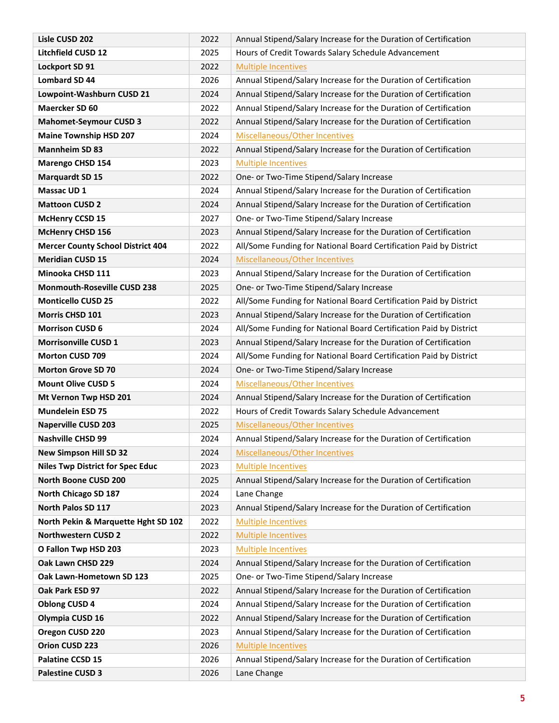| Lisle CUSD 202                             | 2022         | Annual Stipend/Salary Increase for the Duration of Certification                |
|--------------------------------------------|--------------|---------------------------------------------------------------------------------|
| Litchfield CUSD 12                         | 2025         | Hours of Credit Towards Salary Schedule Advancement                             |
| Lockport SD 91                             | 2022         | <b>Multiple Incentives</b>                                                      |
| <b>Lombard SD 44</b>                       | 2026         | Annual Stipend/Salary Increase for the Duration of Certification                |
| Lowpoint-Washburn CUSD 21                  | 2024         | Annual Stipend/Salary Increase for the Duration of Certification                |
| Maercker SD 60                             | 2022         | Annual Stipend/Salary Increase for the Duration of Certification                |
| <b>Mahomet-Seymour CUSD 3</b>              | 2022         | Annual Stipend/Salary Increase for the Duration of Certification                |
| <b>Maine Township HSD 207</b>              | 2024         | Miscellaneous/Other Incentives                                                  |
| <b>Mannheim SD 83</b>                      | 2022         | Annual Stipend/Salary Increase for the Duration of Certification                |
| Marengo CHSD 154                           | 2023         | <b>Multiple Incentives</b>                                                      |
| <b>Marquardt SD 15</b>                     | 2022         | One- or Two-Time Stipend/Salary Increase                                        |
| Massac UD 1                                | 2024         | Annual Stipend/Salary Increase for the Duration of Certification                |
| <b>Mattoon CUSD 2</b>                      | 2024         | Annual Stipend/Salary Increase for the Duration of Certification                |
| <b>McHenry CCSD 15</b>                     | 2027         | One- or Two-Time Stipend/Salary Increase                                        |
| <b>McHenry CHSD 156</b>                    | 2023         | Annual Stipend/Salary Increase for the Duration of Certification                |
| <b>Mercer County School District 404</b>   | 2022         | All/Some Funding for National Board Certification Paid by District              |
| <b>Meridian CUSD 15</b>                    | 2024         | Miscellaneous/Other Incentives                                                  |
| Minooka CHSD 111                           | 2023         | Annual Stipend/Salary Increase for the Duration of Certification                |
| <b>Monmouth-Roseville CUSD 238</b>         | 2025         | One- or Two-Time Stipend/Salary Increase                                        |
| <b>Monticello CUSD 25</b>                  | 2022         | All/Some Funding for National Board Certification Paid by District              |
| Morris CHSD 101                            | 2023         | Annual Stipend/Salary Increase for the Duration of Certification                |
| <b>Morrison CUSD 6</b>                     | 2024         | All/Some Funding for National Board Certification Paid by District              |
| <b>Morrisonville CUSD 1</b>                | 2023         | Annual Stipend/Salary Increase for the Duration of Certification                |
| <b>Morton CUSD 709</b>                     | 2024         | All/Some Funding for National Board Certification Paid by District              |
| <b>Morton Grove SD 70</b>                  | 2024         | One- or Two-Time Stipend/Salary Increase                                        |
| <b>Mount Olive CUSD 5</b>                  | 2024         | Miscellaneous/Other Incentives                                                  |
| Mt Vernon Twp HSD 201                      | 2024         | Annual Stipend/Salary Increase for the Duration of Certification                |
| <b>Mundelein ESD 75</b>                    | 2022         | Hours of Credit Towards Salary Schedule Advancement                             |
| <b>Naperville CUSD 203</b>                 | 2025         | Miscellaneous/Other Incentives                                                  |
| <b>Nashville CHSD 99</b>                   | 2024         | Annual Stipend/Salary Increase for the Duration of Certification                |
| <b>New Simpson Hill SD 32</b>              | 2024         | Miscellaneous/Other Incentives                                                  |
| <b>Niles Twp District for Spec Educ</b>    | 2023         | <b>Multiple Incentives</b>                                                      |
| North Boone CUSD 200                       | 2025         | Annual Stipend/Salary Increase for the Duration of Certification                |
| North Chicago SD 187<br>North Palos SD 117 | 2024<br>2023 | Lane Change<br>Annual Stipend/Salary Increase for the Duration of Certification |
| North Pekin & Marquette Hght SD 102        | 2022         | <b>Multiple Incentives</b>                                                      |
| <b>Northwestern CUSD 2</b>                 | 2022         | <b>Multiple Incentives</b>                                                      |
| O Fallon Twp HSD 203                       | 2023         | <b>Multiple Incentives</b>                                                      |
| Oak Lawn CHSD 229                          | 2024         | Annual Stipend/Salary Increase for the Duration of Certification                |
| Oak Lawn-Hometown SD 123                   | 2025         | One- or Two-Time Stipend/Salary Increase                                        |
| Oak Park ESD 97                            | 2022         | Annual Stipend/Salary Increase for the Duration of Certification                |
| <b>Oblong CUSD 4</b>                       | 2024         | Annual Stipend/Salary Increase for the Duration of Certification                |
| Olympia CUSD 16                            | 2022         | Annual Stipend/Salary Increase for the Duration of Certification                |
| Oregon CUSD 220                            | 2023         | Annual Stipend/Salary Increase for the Duration of Certification                |
| Orion CUSD 223                             | 2026         | <b>Multiple Incentives</b>                                                      |
| Palatine CCSD 15                           | 2026         | Annual Stipend/Salary Increase for the Duration of Certification                |
| <b>Palestine CUSD 3</b>                    | 2026         | Lane Change                                                                     |
|                                            |              |                                                                                 |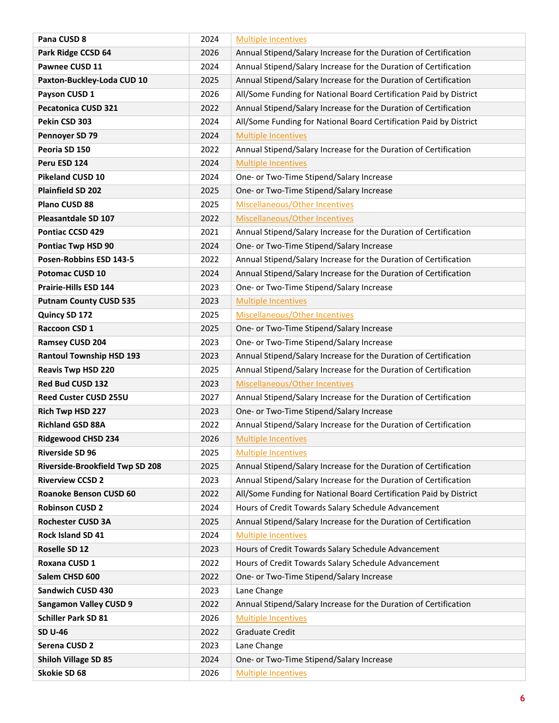| Pana CUSD 8                                                       | 2024         | <b>Multiple Incentives</b>                                                                                                           |
|-------------------------------------------------------------------|--------------|--------------------------------------------------------------------------------------------------------------------------------------|
| Park Ridge CCSD 64                                                | 2026         | Annual Stipend/Salary Increase for the Duration of Certification                                                                     |
| Pawnee CUSD 11                                                    | 2024         | Annual Stipend/Salary Increase for the Duration of Certification                                                                     |
| Paxton-Buckley-Loda CUD 10                                        | 2025         | Annual Stipend/Salary Increase for the Duration of Certification                                                                     |
| Payson CUSD 1                                                     | 2026         | All/Some Funding for National Board Certification Paid by District                                                                   |
| <b>Pecatonica CUSD 321</b>                                        | 2022         | Annual Stipend/Salary Increase for the Duration of Certification                                                                     |
| Pekin CSD 303                                                     | 2024         | All/Some Funding for National Board Certification Paid by District                                                                   |
| Pennoyer SD 79                                                    | 2024         | <b>Multiple Incentives</b>                                                                                                           |
| Peoria SD 150                                                     | 2022         | Annual Stipend/Salary Increase for the Duration of Certification                                                                     |
| Peru ESD 124                                                      | 2024         | <b>Multiple Incentives</b>                                                                                                           |
| <b>Pikeland CUSD 10</b>                                           | 2024         | One- or Two-Time Stipend/Salary Increase                                                                                             |
| <b>Plainfield SD 202</b>                                          | 2025         | One- or Two-Time Stipend/Salary Increase                                                                                             |
| Plano CUSD 88                                                     | 2025         | Miscellaneous/Other Incentives                                                                                                       |
| <b>Pleasantdale SD 107</b>                                        | 2022         | Miscellaneous/Other Incentives                                                                                                       |
| <b>Pontiac CCSD 429</b>                                           | 2021         | Annual Stipend/Salary Increase for the Duration of Certification                                                                     |
| Pontiac Twp HSD 90                                                | 2024         | One- or Two-Time Stipend/Salary Increase                                                                                             |
| Posen-Robbins ESD 143-5                                           | 2022         | Annual Stipend/Salary Increase for the Duration of Certification                                                                     |
| <b>Potomac CUSD 10</b>                                            | 2024         | Annual Stipend/Salary Increase for the Duration of Certification                                                                     |
| <b>Prairie-Hills ESD 144</b>                                      | 2023         | One- or Two-Time Stipend/Salary Increase                                                                                             |
| <b>Putnam County CUSD 535</b>                                     | 2023         | <b>Multiple Incentives</b>                                                                                                           |
| Quincy SD 172                                                     | 2025         | Miscellaneous/Other Incentives                                                                                                       |
| Raccoon CSD 1                                                     | 2025         | One- or Two-Time Stipend/Salary Increase                                                                                             |
| Ramsey CUSD 204                                                   | 2023         | One- or Two-Time Stipend/Salary Increase                                                                                             |
| <b>Rantoul Township HSD 193</b>                                   | 2023         | Annual Stipend/Salary Increase for the Duration of Certification                                                                     |
| <b>Reavis Twp HSD 220</b>                                         | 2025         | Annual Stipend/Salary Increase for the Duration of Certification                                                                     |
| Red Bud CUSD 132                                                  | 2023         | Miscellaneous/Other Incentives                                                                                                       |
| Reed Custer CUSD 255U                                             | 2027         | Annual Stipend/Salary Increase for the Duration of Certification                                                                     |
| Rich Twp HSD 227                                                  | 2023         | One- or Two-Time Stipend/Salary Increase                                                                                             |
| <b>Richland GSD 88A</b>                                           | 2022         | Annual Stipend/Salary Increase for the Duration of Certification                                                                     |
| <b>Ridgewood CHSD 234</b>                                         | 2026         | <b>Multiple Incentives</b>                                                                                                           |
| <b>Riverside SD 96</b>                                            | 2025         | <b>Multiple Incentives</b>                                                                                                           |
| <b>Riverside-Brookfield Twp SD 208</b><br><b>Riverview CCSD 2</b> | 2025<br>2023 | Annual Stipend/Salary Increase for the Duration of Certification<br>Annual Stipend/Salary Increase for the Duration of Certification |
| Roanoke Benson CUSD 60                                            | 2022         | All/Some Funding for National Board Certification Paid by District                                                                   |
| <b>Robinson CUSD 2</b>                                            | 2024         | Hours of Credit Towards Salary Schedule Advancement                                                                                  |
| <b>Rochester CUSD 3A</b>                                          | 2025         | Annual Stipend/Salary Increase for the Duration of Certification                                                                     |
| <b>Rock Island SD 41</b>                                          | 2024         | <b>Multiple Incentives</b>                                                                                                           |
| Roselle SD 12                                                     | 2023         | Hours of Credit Towards Salary Schedule Advancement                                                                                  |
| Roxana CUSD 1                                                     | 2022         | Hours of Credit Towards Salary Schedule Advancement                                                                                  |
| Salem CHSD 600                                                    | 2022         | One- or Two-Time Stipend/Salary Increase                                                                                             |
| Sandwich CUSD 430                                                 | 2023         | Lane Change                                                                                                                          |
| <b>Sangamon Valley CUSD 9</b>                                     | 2022         | Annual Stipend/Salary Increase for the Duration of Certification                                                                     |
| <b>Schiller Park SD 81</b>                                        | 2026         | <b>Multiple Incentives</b>                                                                                                           |
| <b>SD U-46</b>                                                    | 2022         | <b>Graduate Credit</b>                                                                                                               |
| Serena CUSD 2                                                     | 2023         | Lane Change                                                                                                                          |
| <b>Shiloh Village SD 85</b>                                       | 2024         | One- or Two-Time Stipend/Salary Increase                                                                                             |
| Skokie SD 68                                                      | 2026         | <b>Multiple Incentives</b>                                                                                                           |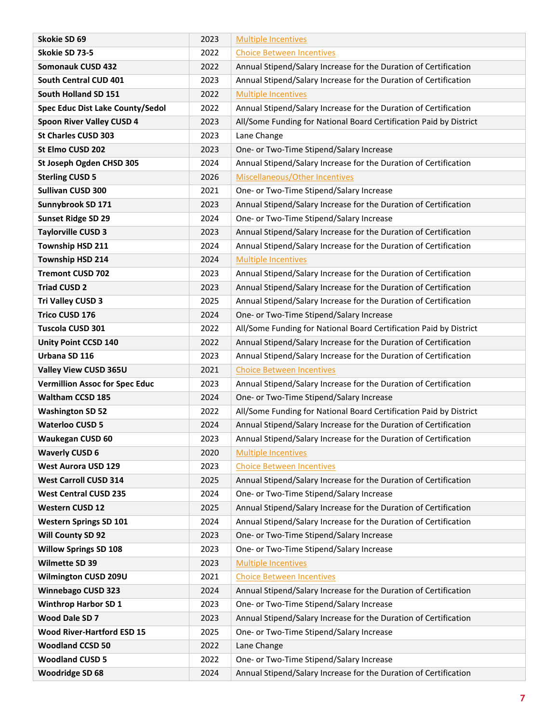| Skokie SD 69                                              | 2023         | <b>Multiple Incentives</b>                                                                                   |
|-----------------------------------------------------------|--------------|--------------------------------------------------------------------------------------------------------------|
| Skokie SD 73-5                                            | 2022         | <b>Choice Between Incentives</b>                                                                             |
| <b>Somonauk CUSD 432</b>                                  | 2022         | Annual Stipend/Salary Increase for the Duration of Certification                                             |
| South Central CUD 401                                     | 2023         | Annual Stipend/Salary Increase for the Duration of Certification                                             |
| South Holland SD 151                                      | 2022         | <b>Multiple Incentives</b>                                                                                   |
| Spec Educ Dist Lake County/Sedol                          | 2022         | Annual Stipend/Salary Increase for the Duration of Certification                                             |
| Spoon River Valley CUSD 4                                 | 2023         | All/Some Funding for National Board Certification Paid by District                                           |
| <b>St Charles CUSD 303</b>                                | 2023         | Lane Change                                                                                                  |
| St Elmo CUSD 202                                          | 2023         | One- or Two-Time Stipend/Salary Increase                                                                     |
| St Joseph Ogden CHSD 305                                  | 2024         | Annual Stipend/Salary Increase for the Duration of Certification                                             |
| <b>Sterling CUSD 5</b>                                    | 2026         | Miscellaneous/Other Incentives                                                                               |
| <b>Sullivan CUSD 300</b>                                  | 2021         | One- or Two-Time Stipend/Salary Increase                                                                     |
| Sunnybrook SD 171                                         | 2023         | Annual Stipend/Salary Increase for the Duration of Certification                                             |
| <b>Sunset Ridge SD 29</b>                                 | 2024         | One- or Two-Time Stipend/Salary Increase                                                                     |
| <b>Taylorville CUSD 3</b>                                 | 2023         | Annual Stipend/Salary Increase for the Duration of Certification                                             |
| Township HSD 211                                          | 2024         | Annual Stipend/Salary Increase for the Duration of Certification                                             |
| Township HSD 214                                          | 2024         | <b>Multiple Incentives</b>                                                                                   |
| <b>Tremont CUSD 702</b>                                   | 2023         | Annual Stipend/Salary Increase for the Duration of Certification                                             |
| <b>Triad CUSD 2</b>                                       | 2023         | Annual Stipend/Salary Increase for the Duration of Certification                                             |
| Tri Valley CUSD 3                                         | 2025         | Annual Stipend/Salary Increase for the Duration of Certification                                             |
| <b>Trico CUSD 176</b>                                     | 2024         | One- or Two-Time Stipend/Salary Increase                                                                     |
| Tuscola CUSD 301                                          | 2022         | All/Some Funding for National Board Certification Paid by District                                           |
| <b>Unity Point CCSD 140</b>                               | 2022         | Annual Stipend/Salary Increase for the Duration of Certification                                             |
| Urbana SD 116                                             | 2023         | Annual Stipend/Salary Increase for the Duration of Certification                                             |
| Valley View CUSD 365U                                     | 2021         | <b>Choice Between Incentives</b>                                                                             |
| <b>Vermillion Assoc for Spec Educ</b>                     | 2023         | Annual Stipend/Salary Increase for the Duration of Certification                                             |
| <b>Waltham CCSD 185</b>                                   | 2024         | One- or Two-Time Stipend/Salary Increase                                                                     |
| <b>Washington SD 52</b>                                   | 2022         | All/Some Funding for National Board Certification Paid by District                                           |
| <b>Waterloo CUSD 5</b>                                    | 2024         | Annual Stipend/Salary Increase for the Duration of Certification                                             |
| <b>Waukegan CUSD 60</b>                                   | 2023         | Annual Stipend/Salary Increase for the Duration of Certification                                             |
| <b>Waverly CUSD 6</b>                                     | 2020         | <b>Multiple Incentives</b>                                                                                   |
| <b>West Aurora USD 129</b>                                | 2023         | <b>Choice Between Incentives</b>                                                                             |
| <b>West Carroll CUSD 314</b>                              | 2025         | Annual Stipend/Salary Increase for the Duration of Certification                                             |
| <b>West Central CUSD 235</b>                              | 2024         | One- or Two-Time Stipend/Salary Increase                                                                     |
| <b>Western CUSD 12</b>                                    | 2025<br>2024 | Annual Stipend/Salary Increase for the Duration of Certification                                             |
| <b>Western Springs SD 101</b><br><b>Will County SD 92</b> | 2023         | Annual Stipend/Salary Increase for the Duration of Certification<br>One- or Two-Time Stipend/Salary Increase |
| <b>Willow Springs SD 108</b>                              | 2023         | One- or Two-Time Stipend/Salary Increase                                                                     |
| Wilmette SD 39                                            | 2023         | <b>Multiple Incentives</b>                                                                                   |
| Wilmington CUSD 209U                                      | 2021         | <b>Choice Between Incentives</b>                                                                             |
| <b>Winnebago CUSD 323</b>                                 | 2024         | Annual Stipend/Salary Increase for the Duration of Certification                                             |
| <b>Winthrop Harbor SD 1</b>                               | 2023         | One- or Two-Time Stipend/Salary Increase                                                                     |
| Wood Dale SD 7                                            | 2023         | Annual Stipend/Salary Increase for the Duration of Certification                                             |
| <b>Wood River-Hartford ESD 15</b>                         | 2025         | One- or Two-Time Stipend/Salary Increase                                                                     |
| <b>Woodland CCSD 50</b>                                   | 2022         | Lane Change                                                                                                  |
| <b>Woodland CUSD 5</b>                                    | 2022         | One- or Two-Time Stipend/Salary Increase                                                                     |
| <b>Woodridge SD 68</b>                                    | 2024         | Annual Stipend/Salary Increase for the Duration of Certification                                             |
|                                                           |              |                                                                                                              |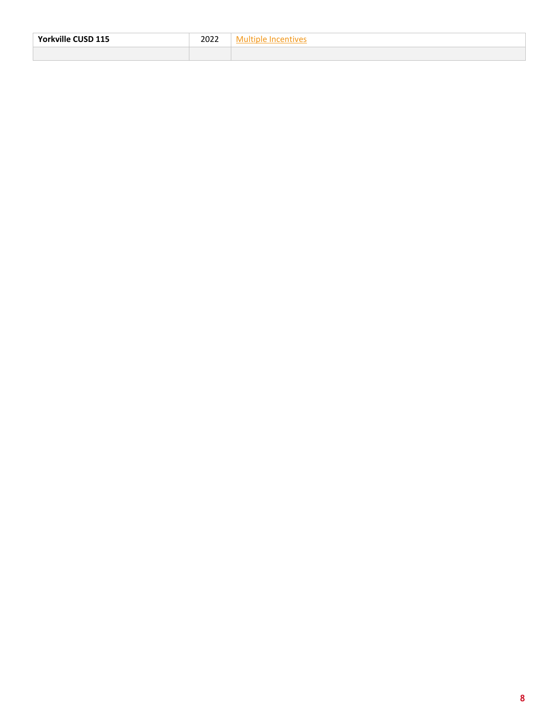<span id="page-9-0"></span>

| 115<br>Yorkville<br>. IF<br>ÐЦ<br>--- | .<br>,,<br>----<br>____ |  |
|---------------------------------------|-------------------------|--|
|                                       |                         |  |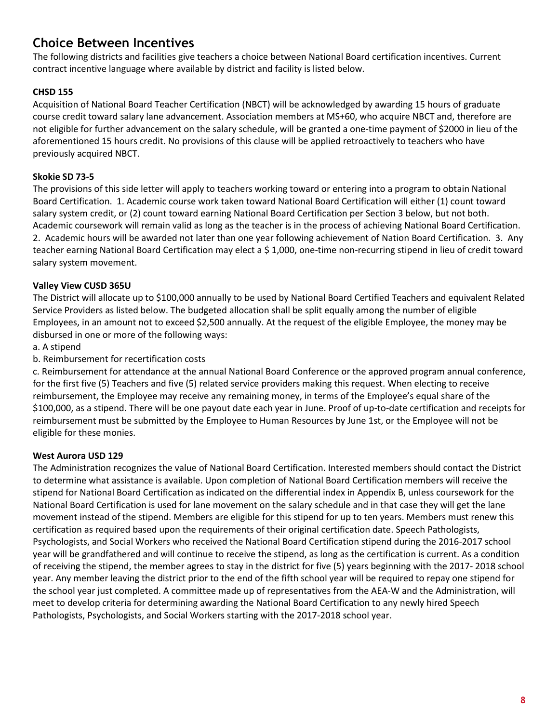## <span id="page-10-0"></span>**Choice Between Incentives**

The following districts and facilities give teachers a choice between National Board certification incentives. Current contract incentive language where available by district and facility is listed below.

#### **CHSD 155**

Acquisition of National Board Teacher Certification (NBCT) will be acknowledged by awarding 15 hours of graduate course credit toward salary lane advancement. Association members at MS+60, who acquire NBCT and, therefore are not eligible for further advancement on the salary schedule, will be granted a one-time payment of \$2000 in lieu of the aforementioned 15 hours credit. No provisions of this clause will be applied retroactively to teachers who have previously acquired NBCT.

#### **Skokie SD 73-5**

The provisions of this side letter will apply to teachers working toward or entering into a program to obtain National Board Certification. 1. Academic course work taken toward National Board Certification will either (1) count toward salary system credit, or (2) count toward earning National Board Certification per Section 3 below, but not both. Academic coursework will remain valid as long as the teacher is in the process of achieving National Board Certification. 2. Academic hours will be awarded not later than one year following achievement of Nation Board Certification. 3. Any teacher earning National Board Certification may elect a \$ 1,000, one-time non-recurring stipend in lieu of credit toward salary system movement.

#### **Valley View CUSD 365U**

The District will allocate up to \$100,000 annually to be used by National Board Certified Teachers and equivalent Related Service Providers as listed below. The budgeted allocation shall be split equally among the number of eligible Employees, in an amount not to exceed \$2,500 annually. At the request of the eligible Employee, the money may be disbursed in one or more of the following ways:

a. A stipend

b. Reimbursement for recertification costs

c. Reimbursement for attendance at the annual National Board Conference or the approved program annual conference, for the first five (5) Teachers and five (5) related service providers making this request. When electing to receive reimbursement, the Employee may receive any remaining money, in terms of the Employee's equal share of the \$100,000, as a stipend. There will be one payout date each year in June. Proof of up-to-date certification and receipts for reimbursement must be submitted by the Employee to Human Resources by June 1st, or the Employee will not be eligible for these monies.

#### **West Aurora USD 129**

The Administration recognizes the value of National Board Certification. Interested members should contact the District to determine what assistance is available. Upon completion of National Board Certification members will receive the stipend for National Board Certification as indicated on the differential index in Appendix B, unless coursework for the National Board Certification is used for lane movement on the salary schedule and in that case they will get the lane movement instead of the stipend. Members are eligible for this stipend for up to ten years. Members must renew this certification as required based upon the requirements of their original certification date. Speech Pathologists, Psychologists, and Social Workers who received the National Board Certification stipend during the 2016-2017 school year will be grandfathered and will continue to receive the stipend, as long as the certification is current. As a condition of receiving the stipend, the member agrees to stay in the district for five (5) years beginning with the 2017- 2018 school year. Any member leaving the district prior to the end of the fifth school year will be required to repay one stipend for the school year just completed. A committee made up of representatives from the AEA-W and the Administration, will meet to develop criteria for determining awarding the National Board Certification to any newly hired Speech Pathologists, Psychologists, and Social Workers starting with the 2017-2018 school year.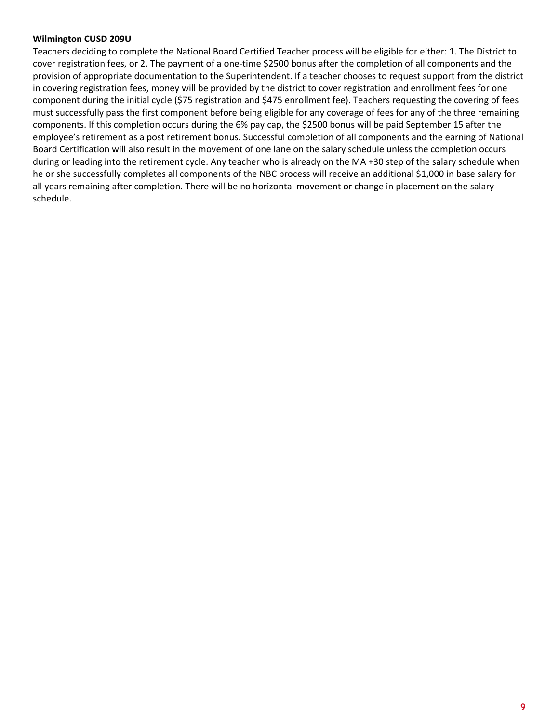#### **Wilmington CUSD 209U**

<span id="page-11-0"></span>Teachers deciding to complete the National Board Certified Teacher process will be eligible for either: 1. The District to cover registration fees, or 2. The payment of a one-time \$2500 bonus after the completion of all components and the provision of appropriate documentation to the Superintendent. If a teacher chooses to request support from the district in covering registration fees, money will be provided by the district to cover registration and enrollment fees for one component during the initial cycle (\$75 registration and \$475 enrollment fee). Teachers requesting the covering of fees must successfully pass the first component before being eligible for any coverage of fees for any of the three remaining components. If this completion occurs during the 6% pay cap, the \$2500 bonus will be paid September 15 after the employee's retirement as a post retirement bonus. Successful completion of all components and the earning of National Board Certification will also result in the movement of one lane on the salary schedule unless the completion occurs during or leading into the retirement cycle. Any teacher who is already on the MA +30 step of the salary schedule when he or she successfully completes all components of the NBC process will receive an additional \$1,000 in base salary for all years remaining after completion. There will be no horizontal movement or change in placement on the salary schedule.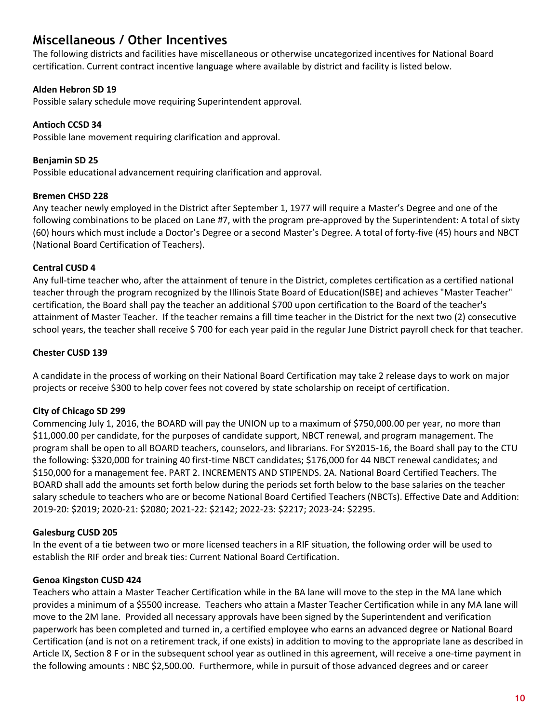## <span id="page-12-0"></span>**Miscellaneous / Other Incentives**

The following districts and facilities have miscellaneous or otherwise uncategorized incentives for National Board certification. Current contract incentive language where available by district and facility is listed below.

#### **Alden Hebron SD 19**

Possible salary schedule move requiring Superintendent approval.

#### **Antioch CCSD 34**

Possible lane movement requiring clarification and approval.

**Benjamin SD 25** Possible educational advancement requiring clarification and approval.

#### **Bremen CHSD 228**

Any teacher newly employed in the District after September 1, 1977 will require a Master's Degree and one of the following combinations to be placed on Lane #7, with the program pre-approved by the Superintendent: A total of sixty (60) hours which must include a Doctor's Degree or a second Master's Degree. A total of forty-five (45) hours and NBCT (National Board Certification of Teachers).

#### **Central CUSD 4**

Any full-time teacher who, after the attainment of tenure in the District, completes certification as a certified national teacher through the program recognized by the Illinois State Board of Education(ISBE) and achieves "Master Teacher" certification, the Board shall pay the teacher an additional \$700 upon certification to the Board of the teacher's attainment of Master Teacher. If the teacher remains a fill time teacher in the District for the next two (2) consecutive school years, the teacher shall receive \$ 700 for each year paid in the regular June District payroll check for that teacher.

#### **Chester CUSD 139**

A candidate in the process of working on their National Board Certification may take 2 release days to work on major projects or receive \$300 to help cover fees not covered by state scholarship on receipt of certification.

#### **City of Chicago SD 299**

Commencing July 1, 2016, the BOARD will pay the UNION up to a maximum of \$750,000.00 per year, no more than \$11,000.00 per candidate, for the purposes of candidate support, NBCT renewal, and program management. The program shall be open to all BOARD teachers, counselors, and librarians. For SY2015-16, the Board shall pay to the CTU the following: \$320,000 for training 40 first-time NBCT candidates; \$176,000 for 44 NBCT renewal candidates; and \$150,000 for a management fee. PART 2. INCREMENTS AND STIPENDS. 2A. National Board Certified Teachers. The BOARD shall add the amounts set forth below during the periods set forth below to the base salaries on the teacher salary schedule to teachers who are or become National Board Certified Teachers (NBCTs). Effective Date and Addition: 2019-20: \$2019; 2020-21: \$2080; 2021-22: \$2142; 2022-23: \$2217; 2023-24: \$2295.

#### **Galesburg CUSD 205**

In the event of a tie between two or more licensed teachers in a RIF situation, the following order will be used to establish the RIF order and break ties: Current National Board Certification.

#### **Genoa Kingston CUSD 424**

Teachers who attain a Master Teacher Certification while in the BA lane will move to the step in the MA lane which provides a minimum of a \$5500 increase. Teachers who attain a Master Teacher Certification while in any MA lane will move to the 2M lane. Provided all necessary approvals have been signed by the Superintendent and verification paperwork has been completed and turned in, a certified employee who earns an advanced degree or National Board Certification (and is not on a retirement track, if one exists) in addition to moving to the appropriate lane as described in Article IX, Section 8 F or in the subsequent school year as outlined in this agreement, will receive a one-time payment in the following amounts : NBC \$2,500.00. Furthermore, while in pursuit of those advanced degrees and or career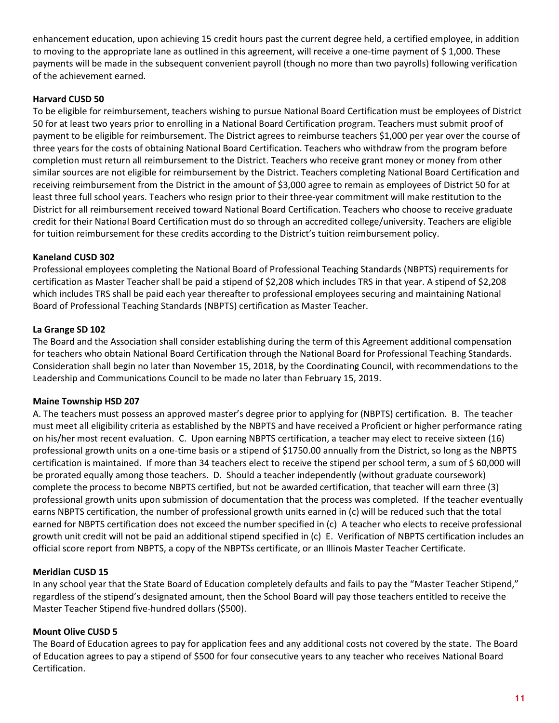enhancement education, upon achieving 15 credit hours past the current degree held, a certified employee, in addition to moving to the appropriate lane as outlined in this agreement, will receive a one-time payment of  $\frac{1}{2}$  1,000. These payments will be made in the subsequent convenient payroll (though no more than two payrolls) following verification of the achievement earned.

#### **Harvard CUSD 50**

To be eligible for reimbursement, teachers wishing to pursue National Board Certification must be employees of District 50 for at least two years prior to enrolling in a National Board Certification program. Teachers must submit proof of payment to be eligible for reimbursement. The District agrees to reimburse teachers \$1,000 per year over the course of three years for the costs of obtaining National Board Certification. Teachers who withdraw from the program before completion must return all reimbursement to the District. Teachers who receive grant money or money from other similar sources are not eligible for reimbursement by the District. Teachers completing National Board Certification and receiving reimbursement from the District in the amount of \$3,000 agree to remain as employees of District 50 for at least three full school years. Teachers who resign prior to their three-year commitment will make restitution to the District for all reimbursement received toward National Board Certification. Teachers who choose to receive graduate credit for their National Board Certification must do so through an accredited college/university. Teachers are eligible for tuition reimbursement for these credits according to the District's tuition reimbursement policy.

#### **Kaneland CUSD 302**

Professional employees completing the National Board of Professional Teaching Standards (NBPTS) requirements for certification as Master Teacher shall be paid a stipend of \$2,208 which includes TRS in that year. A stipend of \$2,208 which includes TRS shall be paid each year thereafter to professional employees securing and maintaining National Board of Professional Teaching Standards (NBPTS) certification as Master Teacher.

#### **La Grange SD 102**

The Board and the Association shall consider establishing during the term of this Agreement additional compensation for teachers who obtain National Board Certification through the National Board for Professional Teaching Standards. Consideration shall begin no later than November 15, 2018, by the Coordinating Council, with recommendations to the Leadership and Communications Council to be made no later than February 15, 2019.

#### **Maine Township HSD 207**

A. The teachers must possess an approved master's degree prior to applying for (NBPTS) certification. B. The teacher must meet all eligibility criteria as established by the NBPTS and have received a Proficient or higher performance rating on his/her most recent evaluation. C. Upon earning NBPTS certification, a teacher may elect to receive sixteen (16) professional growth units on a one-time basis or a stipend of \$1750.00 annually from the District, so long as the NBPTS certification is maintained. If more than 34 teachers elect to receive the stipend per school term, a sum of \$ 60,000 will be prorated equally among those teachers. D. Should a teacher independently (without graduate coursework) complete the process to become NBPTS certified, but not be awarded certification, that teacher will earn three (3) professional growth units upon submission of documentation that the process was completed. If the teacher eventually earns NBPTS certification, the number of professional growth units earned in (c) will be reduced such that the total earned for NBPTS certification does not exceed the number specified in (c) A teacher who elects to receive professional growth unit credit will not be paid an additional stipend specified in (c) E. Verification of NBPTS certification includes an official score report from NBPTS, a copy of the NBPTSs certificate, or an Illinois Master Teacher Certificate.

#### **Meridian CUSD 15**

In any school year that the State Board of Education completely defaults and fails to pay the "Master Teacher Stipend," regardless of the stipend's designated amount, then the School Board will pay those teachers entitled to receive the Master Teacher Stipend five-hundred dollars (\$500).

#### **Mount Olive CUSD 5**

The Board of Education agrees to pay for application fees and any additional costs not covered by the state. The Board of Education agrees to pay a stipend of \$500 for four consecutive years to any teacher who receives National Board Certification.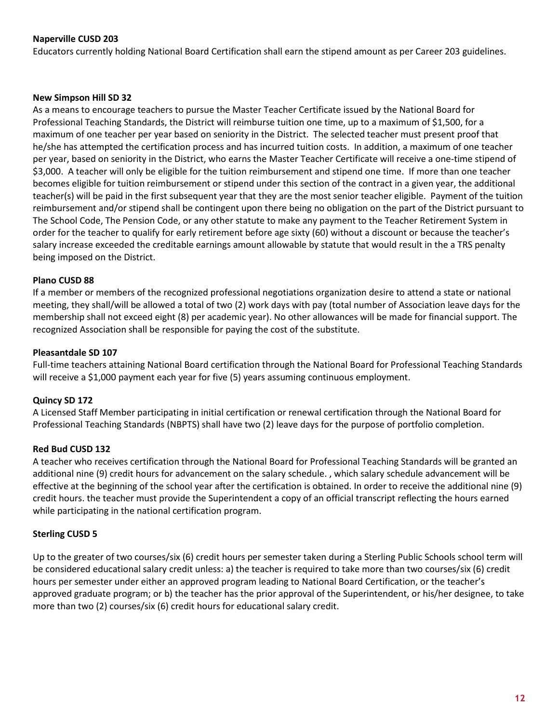#### **Naperville CUSD 203**

Educators currently holding National Board Certification shall earn the stipend amount as per Career 203 guidelines.

#### **New Simpson Hill SD 32**

As a means to encourage teachers to pursue the Master Teacher Certificate issued by the National Board for Professional Teaching Standards, the District will reimburse tuition one time, up to a maximum of \$1,500, for a maximum of one teacher per year based on seniority in the District. The selected teacher must present proof that he/she has attempted the certification process and has incurred tuition costs. In addition, a maximum of one teacher per year, based on seniority in the District, who earns the Master Teacher Certificate will receive a one-time stipend of \$3,000. A teacher will only be eligible for the tuition reimbursement and stipend one time. If more than one teacher becomes eligible for tuition reimbursement or stipend under this section of the contract in a given year, the additional teacher(s) will be paid in the first subsequent year that they are the most senior teacher eligible. Payment of the tuition reimbursement and/or stipend shall be contingent upon there being no obligation on the part of the District pursuant to The School Code, The Pension Code, or any other statute to make any payment to the Teacher Retirement System in order for the teacher to qualify for early retirement before age sixty (60) without a discount or because the teacher's salary increase exceeded the creditable earnings amount allowable by statute that would result in the a TRS penalty being imposed on the District.

#### **Plano CUSD 88**

If a member or members of the recognized professional negotiations organization desire to attend a state or national meeting, they shall/will be allowed a total of two (2) work days with pay (total number of Association leave days for the membership shall not exceed eight (8) per academic year). No other allowances will be made for financial support. The recognized Association shall be responsible for paying the cost of the substitute.

#### **Pleasantdale SD 107**

Full-time teachers attaining National Board certification through the National Board for Professional Teaching Standards will receive a \$1,000 payment each year for five (5) years assuming continuous employment.

#### **Quincy SD 172**

A Licensed Staff Member participating in initial certification or renewal certification through the National Board for Professional Teaching Standards (NBPTS) shall have two (2) leave days for the purpose of portfolio completion.

#### **Red Bud CUSD 132**

A teacher who receives certification through the National Board for Professional Teaching Standards will be granted an additional nine (9) credit hours for advancement on the salary schedule. , which salary schedule advancement will be effective at the beginning of the school year after the certification is obtained. In order to receive the additional nine (9) credit hours. the teacher must provide the Superintendent a copy of an official transcript reflecting the hours earned while participating in the national certification program.

#### **Sterling CUSD 5**

<span id="page-14-0"></span>Up to the greater of two courses/six (6) credit hours per semester taken during a Sterling Public Schools school term will be considered educational salary credit unless: a) the teacher is required to take more than two courses/six (6) credit hours per semester under either an approved program leading to National Board Certification, or the teacher's approved graduate program; or b) the teacher has the prior approval of the Superintendent, or his/her designee, to take more than two (2) courses/six (6) credit hours for educational salary credit.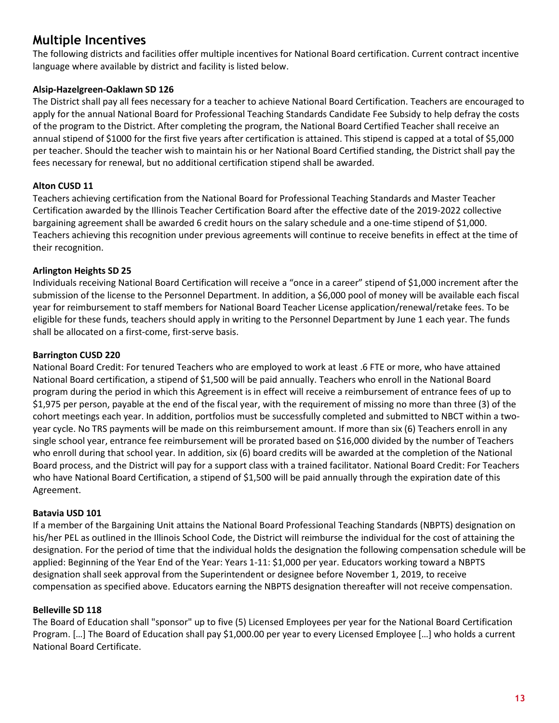## <span id="page-15-0"></span>**Multiple Incentives**

The following districts and facilities offer multiple incentives for National Board certification. Current contract incentive language where available by district and facility is listed below.

#### **Alsip-Hazelgreen-Oaklawn SD 126**

The District shall pay all fees necessary for a teacher to achieve National Board Certification. Teachers are encouraged to apply for the annual National Board for Professional Teaching Standards Candidate Fee Subsidy to help defray the costs of the program to the District. After completing the program, the National Board Certified Teacher shall receive an annual stipend of \$1000 for the first five years after certification is attained. This stipend is capped at a total of \$5,000 per teacher. Should the teacher wish to maintain his or her National Board Certified standing, the District shall pay the fees necessary for renewal, but no additional certification stipend shall be awarded.

#### **Alton CUSD 11**

Teachers achieving certification from the National Board for Professional Teaching Standards and Master Teacher Certification awarded by the Illinois Teacher Certification Board after the effective date of the 2019-2022 collective bargaining agreement shall be awarded 6 credit hours on the salary schedule and a one-time stipend of \$1,000. Teachers achieving this recognition under previous agreements will continue to receive benefits in effect at the time of their recognition.

#### **Arlington Heights SD 25**

Individuals receiving National Board Certification will receive a "once in a career" stipend of \$1,000 increment after the submission of the license to the Personnel Department. In addition, a \$6,000 pool of money will be available each fiscal year for reimbursement to staff members for National Board Teacher License application/renewal/retake fees. To be eligible for these funds, teachers should apply in writing to the Personnel Department by June 1 each year. The funds shall be allocated on a first-come, first-serve basis.

#### **Barrington CUSD 220**

National Board Credit: For tenured Teachers who are employed to work at least .6 FTE or more, who have attained National Board certification, a stipend of \$1,500 will be paid annually. Teachers who enroll in the National Board program during the period in which this Agreement is in effect will receive a reimbursement of entrance fees of up to \$1,975 per person, payable at the end of the fiscal year, with the requirement of missing no more than three (3) of the cohort meetings each year. In addition, portfolios must be successfully completed and submitted to NBCT within a twoyear cycle. No TRS payments will be made on this reimbursement amount. If more than six (6) Teachers enroll in any single school year, entrance fee reimbursement will be prorated based on \$16,000 divided by the number of Teachers who enroll during that school year. In addition, six (6) board credits will be awarded at the completion of the National Board process, and the District will pay for a support class with a trained facilitator. National Board Credit: For Teachers who have National Board Certification, a stipend of \$1,500 will be paid annually through the expiration date of this Agreement.

#### **Batavia USD 101**

If a member of the Bargaining Unit attains the National Board Professional Teaching Standards (NBPTS) designation on his/her PEL as outlined in the Illinois School Code, the District will reimburse the individual for the cost of attaining the designation. For the period of time that the individual holds the designation the following compensation schedule will be applied: Beginning of the Year End of the Year: Years 1-11: \$1,000 per year. Educators working toward a NBPTS designation shall seek approval from the Superintendent or designee before November 1, 2019, to receive compensation as specified above. Educators earning the NBPTS designation thereafter will not receive compensation.

#### **Belleville SD 118**

The Board of Education shall "sponsor" up to five (5) Licensed Employees per year for the National Board Certification Program. […] The Board of Education shall pay \$1,000.00 per year to every Licensed Employee […] who holds a current National Board Certificate.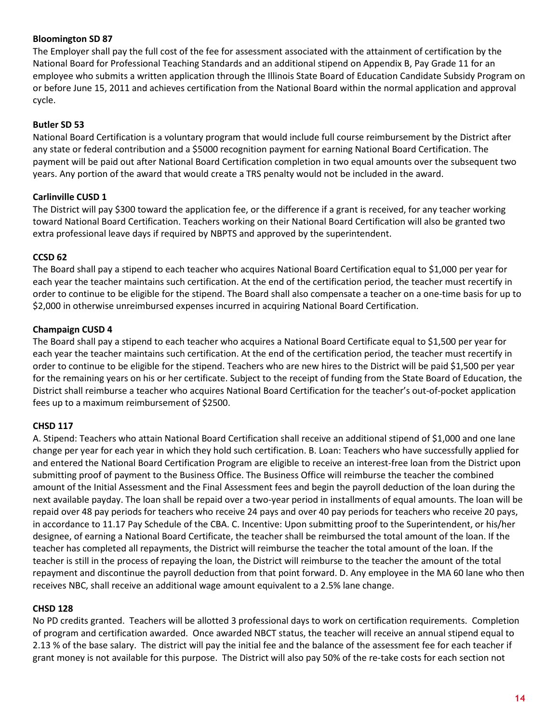#### **Bloomington SD 87**

The Employer shall pay the full cost of the fee for assessment associated with the attainment of certification by the National Board for Professional Teaching Standards and an additional stipend on Appendix B, Pay Grade 11 for an employee who submits a written application through the Illinois State Board of Education Candidate Subsidy Program on or before June 15, 2011 and achieves certification from the National Board within the normal application and approval cycle.

#### **Butler SD 53**

National Board Certification is a voluntary program that would include full course reimbursement by the District after any state or federal contribution and a \$5000 recognition payment for earning National Board Certification. The payment will be paid out after National Board Certification completion in two equal amounts over the subsequent two years. Any portion of the award that would create a TRS penalty would not be included in the award.

#### **Carlinville CUSD 1**

The District will pay \$300 toward the application fee, or the difference if a grant is received, for any teacher working toward National Board Certification. Teachers working on their National Board Certification will also be granted two extra professional leave days if required by NBPTS and approved by the superintendent.

#### **CCSD 62**

The Board shall pay a stipend to each teacher who acquires National Board Certification equal to \$1,000 per year for each year the teacher maintains such certification. At the end of the certification period, the teacher must recertify in order to continue to be eligible for the stipend. The Board shall also compensate a teacher on a one-time basis for up to \$2,000 in otherwise unreimbursed expenses incurred in acquiring National Board Certification.

#### **Champaign CUSD 4**

The Board shall pay a stipend to each teacher who acquires a National Board Certificate equal to \$1,500 per year for each year the teacher maintains such certification. At the end of the certification period, the teacher must recertify in order to continue to be eligible for the stipend. Teachers who are new hires to the District will be paid \$1,500 per year for the remaining years on his or her certificate. Subject to the receipt of funding from the State Board of Education, the District shall reimburse a teacher who acquires National Board Certification for the teacher's out-of-pocket application fees up to a maximum reimbursement of \$2500.

#### **CHSD 117**

A. Stipend: Teachers who attain National Board Certification shall receive an additional stipend of \$1,000 and one lane change per year for each year in which they hold such certification. B. Loan: Teachers who have successfully applied for and entered the National Board Certification Program are eligible to receive an interest-free loan from the District upon submitting proof of payment to the Business Office. The Business Office will reimburse the teacher the combined amount of the Initial Assessment and the Final Assessment fees and begin the payroll deduction of the loan during the next available payday. The loan shall be repaid over a two-year period in installments of equal amounts. The loan will be repaid over 48 pay periods for teachers who receive 24 pays and over 40 pay periods for teachers who receive 20 pays, in accordance to 11.17 Pay Schedule of the CBA. C. Incentive: Upon submitting proof to the Superintendent, or his/her designee, of earning a National Board Certificate, the teacher shall be reimbursed the total amount of the loan. If the teacher has completed all repayments, the District will reimburse the teacher the total amount of the loan. If the teacher is still in the process of repaying the loan, the District will reimburse to the teacher the amount of the total repayment and discontinue the payroll deduction from that point forward. D. Any employee in the MA 60 lane who then receives NBC, shall receive an additional wage amount equivalent to a 2.5% lane change.

#### **CHSD 128**

No PD credits granted. Teachers will be allotted 3 professional days to work on certification requirements. Completion of program and certification awarded. Once awarded NBCT status, the teacher will receive an annual stipend equal to 2.13 % of the base salary. The district will pay the initial fee and the balance of the assessment fee for each teacher if grant money is not available for this purpose. The District will also pay 50% of the re-take costs for each section not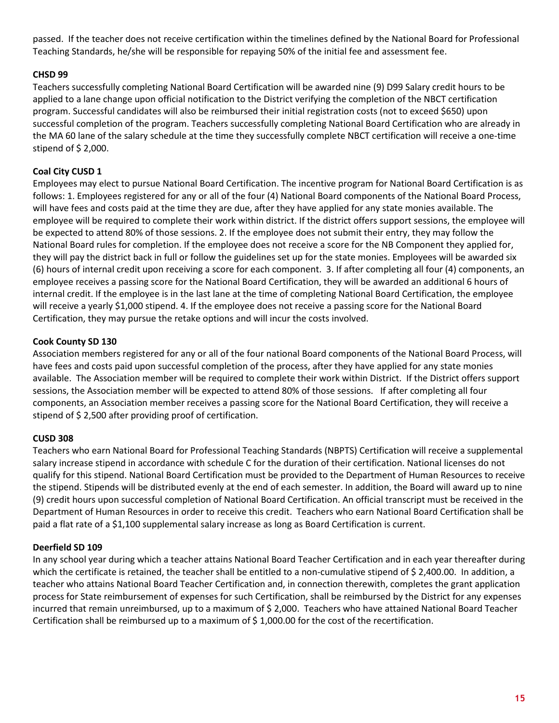passed. If the teacher does not receive certification within the timelines defined by the National Board for Professional Teaching Standards, he/she will be responsible for repaying 50% of the initial fee and assessment fee.

#### **CHSD 99**

Teachers successfully completing National Board Certification will be awarded nine (9) D99 Salary credit hours to be applied to a lane change upon official notification to the District verifying the completion of the NBCT certification program. Successful candidates will also be reimbursed their initial registration costs (not to exceed \$650) upon successful completion of the program. Teachers successfully completing National Board Certification who are already in the MA 60 lane of the salary schedule at the time they successfully complete NBCT certification will receive a one-time stipend of \$ 2,000.

#### **Coal City CUSD 1**

Employees may elect to pursue National Board Certification. The incentive program for National Board Certification is as follows: 1. Employees registered for any or all of the four (4) National Board components of the National Board Process, will have fees and costs paid at the time they are due, after they have applied for any state monies available. The employee will be required to complete their work within district. If the district offers support sessions, the employee will be expected to attend 80% of those sessions. 2. If the employee does not submit their entry, they may follow the National Board rules for completion. If the employee does not receive a score for the NB Component they applied for, they will pay the district back in full or follow the guidelines set up for the state monies. Employees will be awarded six (6) hours of internal credit upon receiving a score for each component. 3. If after completing all four (4) components, an employee receives a passing score for the National Board Certification, they will be awarded an additional 6 hours of internal credit. If the employee is in the last lane at the time of completing National Board Certification, the employee will receive a yearly \$1,000 stipend. 4. If the employee does not receive a passing score for the National Board Certification, they may pursue the retake options and will incur the costs involved.

#### **Cook County SD 130**

Association members registered for any or all of the four national Board components of the National Board Process, will have fees and costs paid upon successful completion of the process, after they have applied for any state monies available. The Association member will be required to complete their work within District. If the District offers support sessions, the Association member will be expected to attend 80% of those sessions. If after completing all four components, an Association member receives a passing score for the National Board Certification, they will receive a stipend of \$ 2,500 after providing proof of certification.

#### **CUSD 308**

Teachers who earn National Board for Professional Teaching Standards (NBPTS) Certification will receive a supplemental salary increase stipend in accordance with schedule C for the duration of their certification. National licenses do not qualify for this stipend. National Board Certification must be provided to the Department of Human Resources to receive the stipend. Stipends will be distributed evenly at the end of each semester. In addition, the Board will award up to nine (9) credit hours upon successful completion of National Board Certification. An official transcript must be received in the Department of Human Resources in order to receive this credit. Teachers who earn National Board Certification shall be paid a flat rate of a \$1,100 supplemental salary increase as long as Board Certification is current.

#### **Deerfield SD 109**

In any school year during which a teacher attains National Board Teacher Certification and in each year thereafter during which the certificate is retained, the teacher shall be entitled to a non-cumulative stipend of \$ 2,400.00. In addition, a teacher who attains National Board Teacher Certification and, in connection therewith, completes the grant application process for State reimbursement of expenses for such Certification, shall be reimbursed by the District for any expenses incurred that remain unreimbursed, up to a maximum of \$ 2,000. Teachers who have attained National Board Teacher Certification shall be reimbursed up to a maximum of \$ 1,000.00 for the cost of the recertification.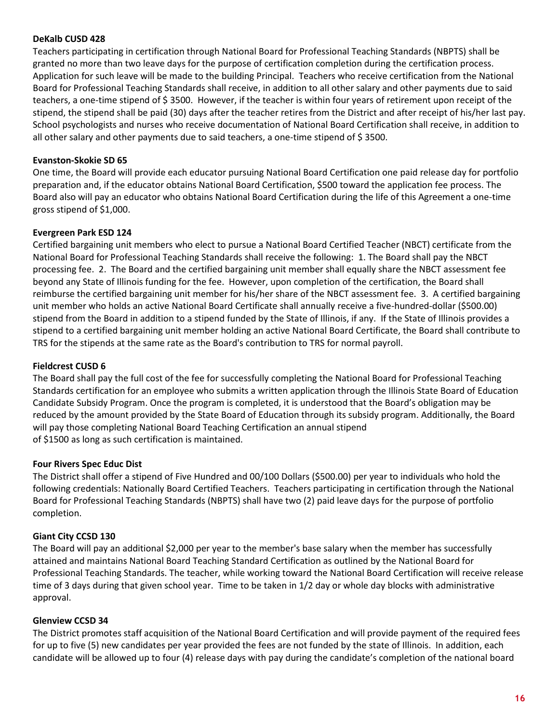#### **DeKalb CUSD 428**

Teachers participating in certification through National Board for Professional Teaching Standards (NBPTS) shall be granted no more than two leave days for the purpose of certification completion during the certification process. Application for such leave will be made to the building Principal. Teachers who receive certification from the National Board for Professional Teaching Standards shall receive, in addition to all other salary and other payments due to said teachers, a one-time stipend of \$3500. However, if the teacher is within four years of retirement upon receipt of the stipend, the stipend shall be paid (30) days after the teacher retires from the District and after receipt of his/her last pay. School psychologists and nurses who receive documentation of National Board Certification shall receive, in addition to all other salary and other payments due to said teachers, a one-time stipend of \$ 3500.

#### **Evanston-Skokie SD 65**

One time, the Board will provide each educator pursuing National Board Certification one paid release day for portfolio preparation and, if the educator obtains National Board Certification, \$500 toward the application fee process. The Board also will pay an educator who obtains National Board Certification during the life of this Agreement a one-time gross stipend of \$1,000.

#### **Evergreen Park ESD 124**

Certified bargaining unit members who elect to pursue a National Board Certified Teacher (NBCT) certificate from the National Board for Professional Teaching Standards shall receive the following: 1. The Board shall pay the NBCT processing fee. 2. The Board and the certified bargaining unit member shall equally share the NBCT assessment fee beyond any State of Illinois funding for the fee. However, upon completion of the certification, the Board shall reimburse the certified bargaining unit member for his/her share of the NBCT assessment fee. 3. A certified bargaining unit member who holds an active National Board Certificate shall annually receive a five-hundred-dollar (\$500.00) stipend from the Board in addition to a stipend funded by the State of Illinois, if any. If the State of Illinois provides a stipend to a certified bargaining unit member holding an active National Board Certificate, the Board shall contribute to TRS for the stipends at the same rate as the Board's contribution to TRS for normal payroll.

#### **Fieldcrest CUSD 6**

The Board shall pay the full cost of the fee for successfully completing the National Board for Professional Teaching Standards certification for an employee who submits a written application through the Illinois State Board of Education Candidate Subsidy Program. Once the program is completed, it is understood that the Board's obligation may be reduced by the amount provided by the State Board of Education through its subsidy program. Additionally, the Board will pay those completing National Board Teaching Certification an annual stipend of \$1500 as long as such certification is maintained.

#### **Four Rivers Spec Educ Dist**

The District shall offer a stipend of Five Hundred and 00/100 Dollars (\$500.00) per year to individuals who hold the following credentials: Nationally Board Certified Teachers. Teachers participating in certification through the National Board for Professional Teaching Standards (NBPTS) shall have two (2) paid leave days for the purpose of portfolio completion.

#### **Giant City CCSD 130**

The Board will pay an additional \$2,000 per year to the member's base salary when the member has successfully attained and maintains National Board Teaching Standard Certification as outlined by the National Board for Professional Teaching Standards. The teacher, while working toward the National Board Certification will receive release time of 3 days during that given school year. Time to be taken in 1/2 day or whole day blocks with administrative approval.

#### **Glenview CCSD 34**

The District promotes staff acquisition of the National Board Certification and will provide payment of the required fees for up to five (5) new candidates per year provided the fees are not funded by the state of Illinois. In addition, each candidate will be allowed up to four (4) release days with pay during the candidate's completion of the national board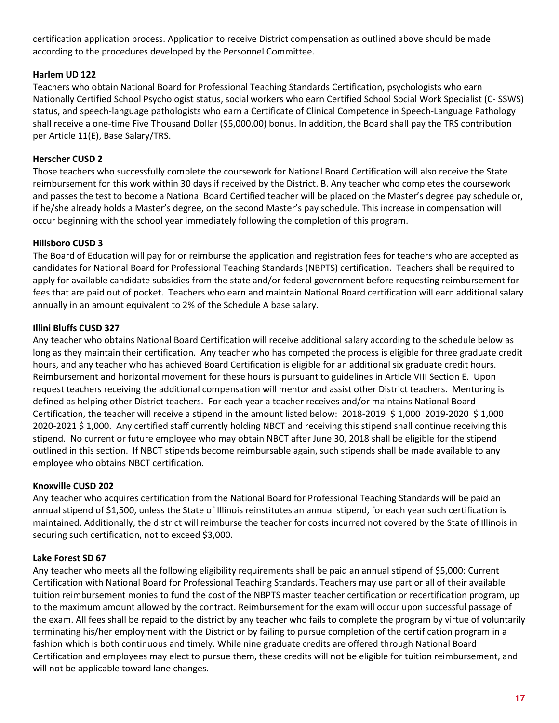certification application process. Application to receive District compensation as outlined above should be made according to the procedures developed by the Personnel Committee.

#### **Harlem UD 122**

Teachers who obtain National Board for Professional Teaching Standards Certification, psychologists who earn Nationally Certified School Psychologist status, social workers who earn Certified School Social Work Specialist (C- SSWS) status, and speech-language pathologists who earn a Certificate of Clinical Competence in Speech-Language Pathology shall receive a one-time Five Thousand Dollar (\$5,000.00) bonus. In addition, the Board shall pay the TRS contribution per Article 11(E), Base Salary/TRS.

#### **Herscher CUSD 2**

Those teachers who successfully complete the coursework for National Board Certification will also receive the State reimbursement for this work within 30 days if received by the District. B. Any teacher who completes the coursework and passes the test to become a National Board Certified teacher will be placed on the Master's degree pay schedule or, if he/she already holds a Master's degree, on the second Master's pay schedule. This increase in compensation will occur beginning with the school year immediately following the completion of this program.

#### **Hillsboro CUSD 3**

The Board of Education will pay for or reimburse the application and registration fees for teachers who are accepted as candidates for National Board for Professional Teaching Standards (NBPTS) certification. Teachers shall be required to apply for available candidate subsidies from the state and/or federal government before requesting reimbursement for fees that are paid out of pocket. Teachers who earn and maintain National Board certification will earn additional salary annually in an amount equivalent to 2% of the Schedule A base salary.

#### **Illini Bluffs CUSD 327**

Any teacher who obtains National Board Certification will receive additional salary according to the schedule below as long as they maintain their certification. Any teacher who has competed the process is eligible for three graduate credit hours, and any teacher who has achieved Board Certification is eligible for an additional six graduate credit hours. Reimbursement and horizontal movement for these hours is pursuant to guidelines in Article VIII Section E. Upon request teachers receiving the additional compensation will mentor and assist other District teachers. Mentoring is defined as helping other District teachers. For each year a teacher receives and/or maintains National Board Certification, the teacher will receive a stipend in the amount listed below: 2018-2019 \$ 1,000 2019-2020 \$ 1,000 2020-2021 \$ 1,000. Any certified staff currently holding NBCT and receiving this stipend shall continue receiving this stipend. No current or future employee who may obtain NBCT after June 30, 2018 shall be eligible for the stipend outlined in this section. If NBCT stipends become reimbursable again, such stipends shall be made available to any employee who obtains NBCT certification.

#### **Knoxville CUSD 202**

Any teacher who acquires certification from the National Board for Professional Teaching Standards will be paid an annual stipend of \$1,500, unless the State of Illinois reinstitutes an annual stipend, for each year such certification is maintained. Additionally, the district will reimburse the teacher for costs incurred not covered by the State of Illinois in securing such certification, not to exceed \$3,000.

#### **Lake Forest SD 67**

Any teacher who meets all the following eligibility requirements shall be paid an annual stipend of \$5,000: Current Certification with National Board for Professional Teaching Standards. Teachers may use part or all of their available tuition reimbursement monies to fund the cost of the NBPTS master teacher certification or recertification program, up to the maximum amount allowed by the contract. Reimbursement for the exam will occur upon successful passage of the exam. All fees shall be repaid to the district by any teacher who fails to complete the program by virtue of voluntarily terminating his/her employment with the District or by failing to pursue completion of the certification program in a fashion which is both continuous and timely. While nine graduate credits are offered through National Board Certification and employees may elect to pursue them, these credits will not be eligible for tuition reimbursement, and will not be applicable toward lane changes.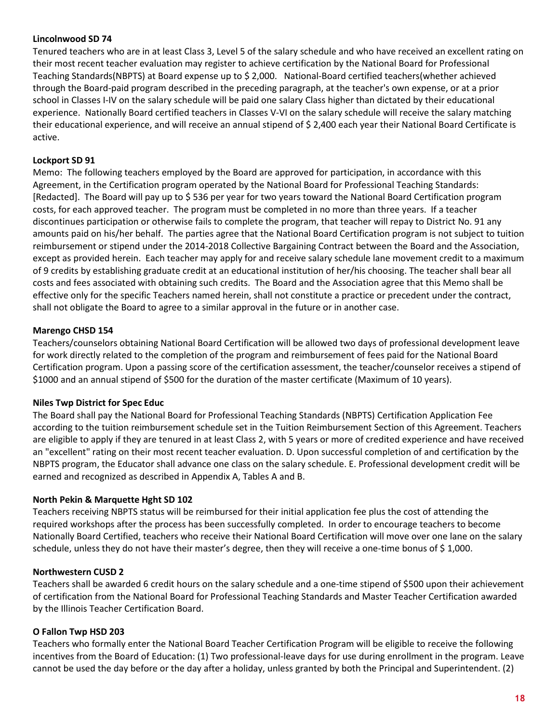#### **Lincolnwood SD 74**

Tenured teachers who are in at least Class 3, Level 5 of the salary schedule and who have received an excellent rating on their most recent teacher evaluation may register to achieve certification by the National Board for Professional Teaching Standards(NBPTS) at Board expense up to \$ 2,000. National-Board certified teachers(whether achieved through the Board-paid program described in the preceding paragraph, at the teacher's own expense, or at a prior school in Classes I-IV on the salary schedule will be paid one salary Class higher than dictated by their educational experience. Nationally Board certified teachers in Classes V-VI on the salary schedule will receive the salary matching their educational experience, and will receive an annual stipend of \$ 2,400 each year their National Board Certificate is active.

#### **Lockport SD 91**

Memo: The following teachers employed by the Board are approved for participation, in accordance with this Agreement, in the Certification program operated by the National Board for Professional Teaching Standards: [Redacted]. The Board will pay up to \$ 536 per year for two years toward the National Board Certification program costs, for each approved teacher. The program must be completed in no more than three years. If a teacher discontinues participation or otherwise fails to complete the program, that teacher will repay to District No. 91 any amounts paid on his/her behalf. The parties agree that the National Board Certification program is not subject to tuition reimbursement or stipend under the 2014-2018 Collective Bargaining Contract between the Board and the Association, except as provided herein. Each teacher may apply for and receive salary schedule lane movement credit to a maximum of 9 credits by establishing graduate credit at an educational institution of her/his choosing. The teacher shall bear all costs and fees associated with obtaining such credits. The Board and the Association agree that this Memo shall be effective only for the specific Teachers named herein, shall not constitute a practice or precedent under the contract, shall not obligate the Board to agree to a similar approval in the future or in another case.

#### **Marengo CHSD 154**

Teachers/counselors obtaining National Board Certification will be allowed two days of professional development leave for work directly related to the completion of the program and reimbursement of fees paid for the National Board Certification program. Upon a passing score of the certification assessment, the teacher/counselor receives a stipend of \$1000 and an annual stipend of \$500 for the duration of the master certificate (Maximum of 10 years).

#### **Niles Twp District for Spec Educ**

The Board shall pay the National Board for Professional Teaching Standards (NBPTS) Certification Application Fee according to the tuition reimbursement schedule set in the Tuition Reimbursement Section of this Agreement. Teachers are eligible to apply if they are tenured in at least Class 2, with 5 years or more of credited experience and have received an "excellent" rating on their most recent teacher evaluation. D. Upon successful completion of and certification by the NBPTS program, the Educator shall advance one class on the salary schedule. E. Professional development credit will be earned and recognized as described in Appendix A, Tables A and B.

#### **North Pekin & Marquette Hght SD 102**

Teachers receiving NBPTS status will be reimbursed for their initial application fee plus the cost of attending the required workshops after the process has been successfully completed. In order to encourage teachers to become Nationally Board Certified, teachers who receive their National Board Certification will move over one lane on the salary schedule, unless they do not have their master's degree, then they will receive a one-time bonus of \$ 1,000.

#### **Northwestern CUSD 2**

Teachers shall be awarded 6 credit hours on the salary schedule and a one-time stipend of \$500 upon their achievement of certification from the National Board for Professional Teaching Standards and Master Teacher Certification awarded by the Illinois Teacher Certification Board.

#### **O Fallon Twp HSD 203**

Teachers who formally enter the National Board Teacher Certification Program will be eligible to receive the following incentives from the Board of Education: (1) Two professional-leave days for use during enrollment in the program. Leave cannot be used the day before or the day after a holiday, unless granted by both the Principal and Superintendent. (2)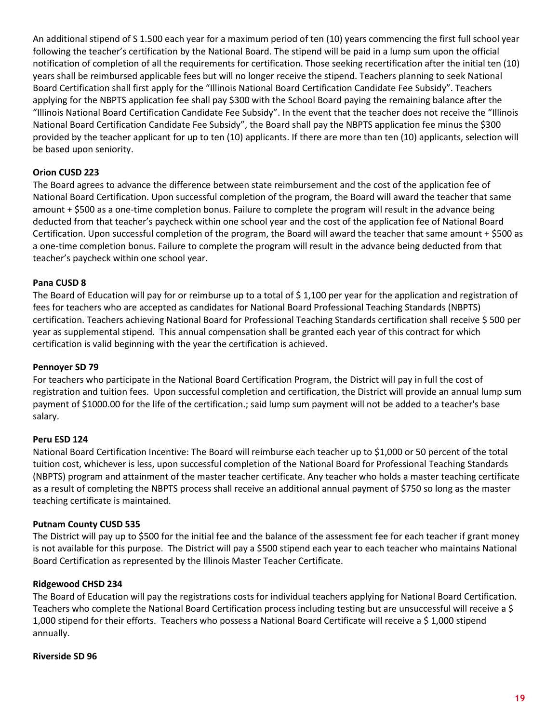An additional stipend of S 1.500 each year for a maximum period of ten (10) years commencing the first full school year following the teacher's certification by the National Board. The stipend will be paid in a lump sum upon the official notification of completion of all the requirements for certification. Those seeking recertification after the initial ten (10) years shall be reimbursed applicable fees but will no longer receive the stipend. Teachers planning to seek National Board Certification shall first apply for the "Illinois National Board Certification Candidate Fee Subsidy". Teachers applying for the NBPTS application fee shall pay \$300 with the School Board paying the remaining balance after the "Illinois National Board Certification Candidate Fee Subsidy". In the event that the teacher does not receive the "Illinois National Board Certification Candidate Fee Subsidy", the Board shall pay the NBPTS application fee minus the \$300 provided by the teacher applicant for up to ten (10) applicants. If there are more than ten (10) applicants, selection will be based upon seniority.

#### **Orion CUSD 223**

The Board agrees to advance the difference between state reimbursement and the cost of the application fee of National Board Certification. Upon successful completion of the program, the Board will award the teacher that same amount + \$500 as a one-time completion bonus. Failure to complete the program will result in the advance being deducted from that teacher's paycheck within one school year and the cost of the application fee of National Board Certification. Upon successful completion of the program, the Board will award the teacher that same amount  $+$  \$500 as a one-time completion bonus. Failure to complete the program will result in the advance being deducted from that teacher's paycheck within one school year.

#### **Pana CUSD 8**

The Board of Education will pay for or reimburse up to a total of \$ 1,100 per year for the application and registration of fees for teachers who are accepted as candidates for National Board Professional Teaching Standards (NBPTS) certification. Teachers achieving National Board for Professional Teaching Standards certification shall receive \$ 500 per year as supplemental stipend. This annual compensation shall be granted each year of this contract for which certification is valid beginning with the year the certification is achieved.

#### **Pennoyer SD 79**

For teachers who participate in the National Board Certification Program, the District will pay in full the cost of registration and tuition fees. Upon successful completion and certification, the District will provide an annual lump sum payment of \$1000.00 for the life of the certification.; said lump sum payment will not be added to a teacher's base salary.

#### **Peru ESD 124**

National Board Certification Incentive: The Board will reimburse each teacher up to \$1,000 or 50 percent of the total tuition cost, whichever is less, upon successful completion of the National Board for Professional Teaching Standards (NBPTS) program and attainment of the master teacher certificate. Any teacher who holds a master teaching certificate as a result of completing the NBPTS process shall receive an additional annual payment of \$750 so long as the master teaching certificate is maintained.

#### **Putnam County CUSD 535**

The District will pay up to \$500 for the initial fee and the balance of the assessment fee for each teacher if grant money is not available for this purpose. The District will pay a \$500 stipend each year to each teacher who maintains National Board Certification as represented by the Illinois Master Teacher Certificate.

#### **Ridgewood CHSD 234**

The Board of Education will pay the registrations costs for individual teachers applying for National Board Certification. Teachers who complete the National Board Certification process including testing but are unsuccessful will receive a \$ 1,000 stipend for their efforts. Teachers who possess a National Board Certificate will receive a \$ 1,000 stipend annually.

#### **Riverside SD 96**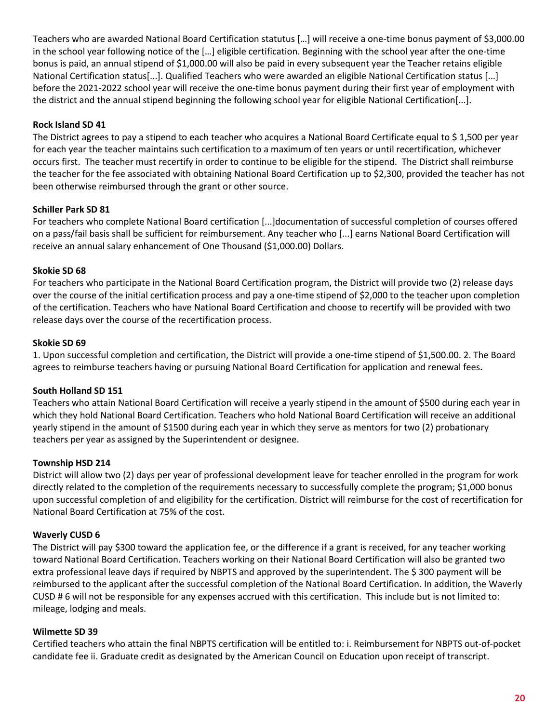Teachers who are awarded National Board Certification statutus […] will receive a one-time bonus payment of \$3,000.00 in the school year following notice of the […] eligible certification. Beginning with the school year after the one-time bonus is paid, an annual stipend of \$1,000.00 will also be paid in every subsequent year the Teacher retains eligible National Certification status[...]. Qualified Teachers who were awarded an eligible National Certification status [...] before the 2021-2022 school year will receive the one-time bonus payment during their first year of employment with the district and the annual stipend beginning the following school year for eligible National Certification[...].

#### **Rock Island SD 41**

The District agrees to pay a stipend to each teacher who acquires a National Board Certificate equal to \$ 1,500 per year for each year the teacher maintains such certification to a maximum of ten years or until recertification, whichever occurs first. The teacher must recertify in order to continue to be eligible for the stipend. The District shall reimburse the teacher for the fee associated with obtaining National Board Certification up to \$2,300, provided the teacher has not been otherwise reimbursed through the grant or other source.

#### **Schiller Park SD 81**

For teachers who complete National Board certification [...]documentation of successful completion of courses offered on a pass/fail basis shall be sufficient for reimbursement. Any teacher who [...] earns National Board Certification will receive an annual salary enhancement of One Thousand (\$1,000.00) Dollars.

#### **Skokie SD 68**

For teachers who participate in the National Board Certification program, the District will provide two (2) release days over the course of the initial certification process and pay a one-time stipend of \$2,000 to the teacher upon completion of the certification. Teachers who have National Board Certification and choose to recertify will be provided with two release days over the course of the recertification process.

#### **Skokie SD 69**

1. Upon successful completion and certification, the District will provide a one-time stipend of \$1,500.00. 2. The Board agrees to reimburse teachers having or pursuing National Board Certification for application and renewal fees**.**

#### **South Holland SD 151**

Teachers who attain National Board Certification will receive a yearly stipend in the amount of \$500 during each year in which they hold National Board Certification. Teachers who hold National Board Certification will receive an additional yearly stipend in the amount of \$1500 during each year in which they serve as mentors for two (2) probationary teachers per year as assigned by the Superintendent or designee.

#### **Township HSD 214**

District will allow two (2) days per year of professional development leave for teacher enrolled in the program for work directly related to the completion of the requirements necessary to successfully complete the program; \$1,000 bonus upon successful completion of and eligibility for the certification. District will reimburse for the cost of recertification for National Board Certification at 75% of the cost.

#### **Waverly CUSD 6**

The District will pay \$300 toward the application fee, or the difference if a grant is received, for any teacher working toward National Board Certification. Teachers working on their National Board Certification will also be granted two extra professional leave days if required by NBPTS and approved by the superintendent. The \$ 300 payment will be reimbursed to the applicant after the successful completion of the National Board Certification. In addition, the Waverly CUSD # 6 will not be responsible for any expenses accrued with this certification. This include but is not limited to: mileage, lodging and meals.

#### **Wilmette SD 39**

Certified teachers who attain the final NBPTS certification will be entitled to: i. Reimbursement for NBPTS out-of-pocket candidate fee ii. Graduate credit as designated by the American Council on Education upon receipt of transcript.